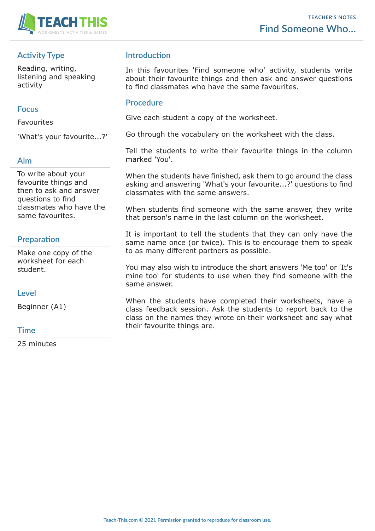

# **Activity Type**

Reading, writing, listening and speaking activity

#### **Focus**

Favourites

'What's your favourite...?'

### **Aim**

To write about your favourite things and then to ask and answer questions to find classmates who have the same favourites.

# **Preparation**

Make one copy of the worksheet for each student.

### **Level**

Beginner (A1)

#### **Time**

25 minutes

# **Introduction**

In this favourites 'Find someone who' activity, students write about their favourite things and then ask and answer questions to find classmates who have the same favourites.

#### **Procedure**

Give each student a copy of the worksheet.

Go through the vocabulary on the worksheet with the class.

Tell the students to write their favourite things in the column marked 'You'.

When the students have finished, ask them to go around the class asking and answering 'What's your favourite...?' questions to find classmates with the same answers.

When students find someone with the same answer, they write that person's name in the last column on the worksheet.

It is important to tell the students that they can only have the same name once (or twice). This is to encourage them to speak to as many different partners as possible.

You may also wish to introduce the short answers 'Me too' or 'It's mine too' for students to use when they find someone with the same answer.

When the students have completed their worksheets, have a class feedback session. Ask the students to report back to the class on the names they wrote on their worksheet and say what their favourite things are.